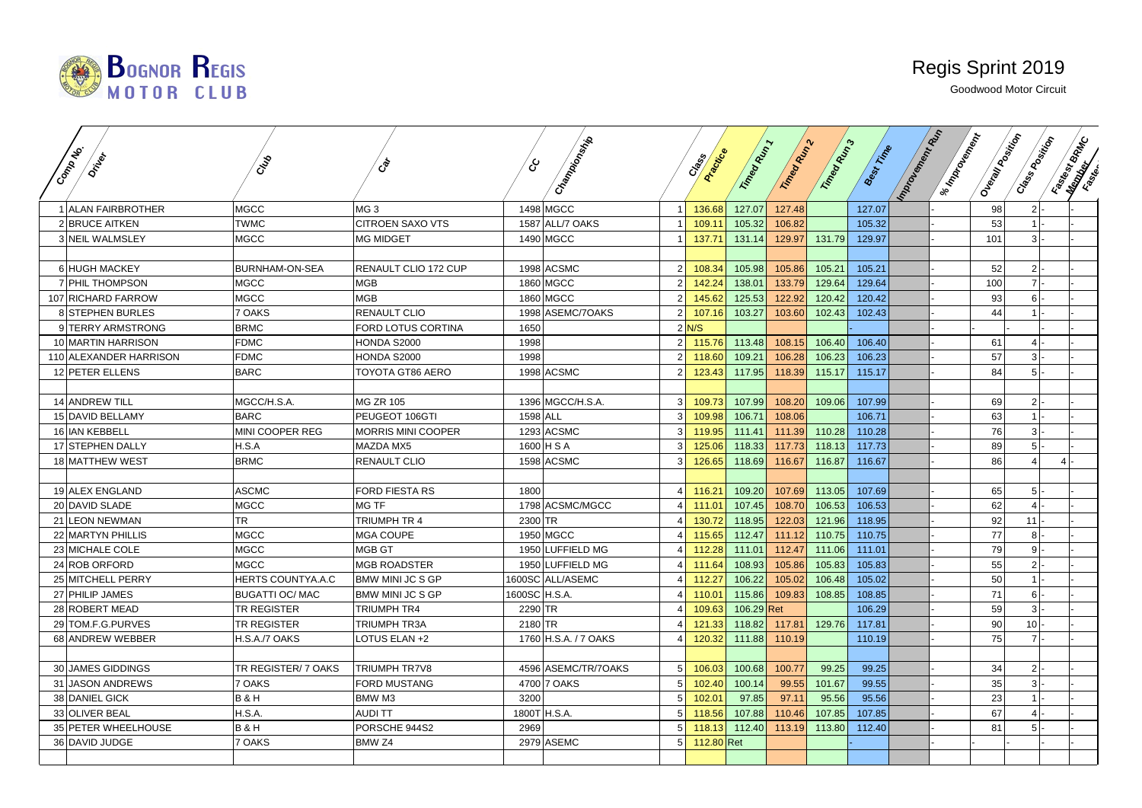

|                                        |                        |                           |               | Champions (Marin       |                |                   |                  |                  |                  |                  | <b>Important Replaced</b> | I suppose the paint<br>Ouevalue of this con- | Case Rooming | <b>Final River Co.</b> |
|----------------------------------------|------------------------|---------------------------|---------------|------------------------|----------------|-------------------|------------------|------------------|------------------|------------------|---------------------------|----------------------------------------------|--------------|------------------------|
| Common<br><b>OTIVE</b>                 | CNB                    | ශ්                        | දා            |                        |                | Angricce<br>Creek | Trimega Military | Trimee Many 2    | Trimea Municipal | <b>Best Fine</b> |                           |                                              |              |                        |
|                                        |                        |                           |               |                        |                |                   |                  |                  |                  |                  |                           |                                              |              |                        |
|                                        |                        |                           |               |                        |                |                   |                  |                  |                  |                  |                           |                                              |              |                        |
| 1 ALAN FAIRBROTHER                     | <b>MGCC</b>            | MG <sub>3</sub>           |               | 1498 MGCC              | 11             | 136.68            | 127.07           | 127.48           |                  | 127.07           |                           | 98                                           | $2$ -        |                        |
| 2 BRUCE AITKEN                         | <b>TWMC</b>            | <b>CITROEN SAXO VTS</b>   |               | 1587 ALL/7 OAKS        |                | 109.11            | 105.32           | 106.82           |                  | 105.32           |                           | 53                                           | $1$ -        |                        |
| 3 NEIL WALMSLEY                        | <b>MGCC</b>            | <b>MG MIDGET</b>          |               | 1490 MGCC              |                | 137.71            | 131.14           | 129.97           | 131.79           | 129.97           |                           | 101                                          | $3$ -        |                        |
|                                        | BURNHAM-ON-SEA         |                           |               | 1998 ACSMC             | 2 <sup>1</sup> | 108.34            | 105.98           |                  | 105.21           | 105.21           |                           | 52                                           | $2 -$        |                        |
| 6 HUGH MACKEY                          | <b>MGCC</b>            | RENAULT CLIO 172 CUP      |               |                        | 2 <sup>1</sup> | 142.24            | 138.01           | 105.86<br>133.79 | 129.64           | 129.64           |                           | 100                                          | $7$ .        |                        |
| 7 PHIL THOMPSON                        | <b>MGCC</b>            | MGB<br><b>MGB</b>         |               | 1860 MGCC<br>1860 MGCC |                |                   |                  | 122.92           | 120.42           | 120.42           |                           |                                              | $6$ -        |                        |
| 107 RICHARD FARROW<br>8 STEPHEN BURLES | 7 OAKS                 | RENAULT CLIO              |               | 1998 ASEMC/7OAKS       | 2 <sup>1</sup> | 145.62<br>107.16  | 125.53<br>103.27 | 103.60           | 102.43           | 102.43           |                           | 93<br>44                                     | $1$ -        |                        |
| 9 TERRY ARMSTRONG                      | <b>BRMC</b>            | FORD LOTUS CORTINA        | 1650          |                        |                | $2$ N/S           |                  |                  |                  |                  |                           |                                              |              |                        |
| 10 MARTIN HARRISON                     | <b>FDMC</b>            | HONDA S2000               | 1998          |                        | 2              | 115.76            | 113.48           | 108.15           | 106.40           | 106.40           |                           | 61                                           | $4$  -       |                        |
| 110 ALEXANDER HARRISON                 | <b>FDMC</b>            | HONDA S2000               | 1998          |                        | 2 <sup>1</sup> | 118.60            | 109.21           | 106.28           | 106.23           | 106.23           |                           | 57                                           | $3-$         |                        |
| 12 PETER ELLENS                        | <b>BARC</b>            | TOYOTA GT86 AERO          |               | 1998 ACSMC             |                | 123.43            | 117.95           | 118.39           | 115.17           | 115.17           |                           | 84                                           | $5$ -        |                        |
|                                        |                        |                           |               |                        |                |                   |                  |                  |                  |                  |                           |                                              |              |                        |
| 14 ANDREW TILL                         | MGCC/H.S.A.            | MG ZR 105                 |               | 1396 MGCC/H.S.A.       | 3 <sup>l</sup> | 109.73            | 107.99           | 108.20           | 109.06           | 107.99           |                           | 69                                           | $2$ -        |                        |
| 15 DAVID BELLAMY                       | <b>BARC</b>            | PEUGEOT 106GTI            | 1598 ALL      |                        | $\overline{3}$ | 109.98            | 106.71           | 108.06           |                  | 106.71           |                           | 63                                           | $1$ .        |                        |
| 16 IAN KEBBELL                         | MINI COOPER REG        | <b>MORRIS MINI COOPER</b> |               | 1293 ACSMC             | 3 <sup>1</sup> | 119.95            | 111.41           | 111.39           | 110.28           | 110.28           |                           | 76                                           | $3$ -        |                        |
| 17 STEPHEN DALLY                       | H.S.A                  | MAZDA MX5                 |               | 1600 H S A             | $\mathcal{E}$  | 125.06            | 118.33           | 117.73           | 118.13           | 117.73           |                           | 89                                           | $5$ -        |                        |
| 18 MATTHEW WEST                        | <b>BRMC</b>            | RENAULT CLIO              |               | 1598 ACSMC             | 3 <sup>1</sup> | 126.65            | 118.69           | 116.67           | 116.87           | 116.67           |                           | 86                                           |              |                        |
|                                        |                        |                           |               |                        |                |                   |                  |                  |                  |                  |                           |                                              |              |                        |
| 19 ALEX ENGLAND                        | <b>ASCMC</b>           | <b>FORD FIESTA RS</b>     | 1800          |                        |                | 116.21            | 109.20           | 107.69           | 113.05           | 107.69           |                           | 65                                           | $5$  -       |                        |
| 20 DAVID SLADE                         | <b>MGCC</b>            | <b>MG TF</b>              |               | 1798 ACSMC/MGCC        |                | 111.01            | 107.45           | 108.70           | 106.53           | 106.53           |                           | 62                                           | $4$ .        |                        |
| 21 LEON NEWMAN                         | <b>TR</b>              | TRIUMPH TR 4              | 2300 TR       |                        |                | 130.72            | 118.95           | 122.03           | 121.96           | 118.95           |                           | 92                                           | $11$ .       |                        |
| 22 MARTYN PHILLIS                      | <b>MGCC</b>            | <b>MGA COUPE</b>          |               | 1950 MGCC              |                | 115.65            | 112.47           | 111.12           | 110.75           | 110.75           |                           | 77                                           | $8$  -       |                        |
| 23 MICHALE COLE                        | <b>MGCC</b>            | MGB GT                    |               | 1950 LUFFIELD MG       |                | 112.28            | 111.01           | 112.47           | 111.06           | 111.01           |                           | 79                                           | $9 -$        |                        |
| 24 ROB ORFORD                          | <b>MGCC</b>            | <b>MGB ROADSTER</b>       |               | 1950 LUFFIELD MG       |                | 111.64            | 108.93           | 105.86           | 105.83           | 105.83           |                           | 55                                           | $2$ -        |                        |
| 25 MITCHELL PERRY                      | HERTS COUNTYA.A.C      | <b>BMW MINI JC S GP</b>   |               | 1600SC ALL/ASEMC       |                | 112.27            | 106.22           | 105.02           | 106.48           | 105.02           |                           | 50 <sub>1</sub>                              | $1$ .        |                        |
| 27 PHILIP JAMES                        | <b>BUGATTI OC/ MAC</b> | BMW MINI JC S GP          | 1600SC H.S.A. |                        |                | 110.01            | 115.86           | 109.83           | 108.85           | 108.85           |                           | 71                                           | $6$ -        |                        |
| 28 ROBERT MEAD                         | <b>TR REGISTER</b>     | <b>TRIUMPH TR4</b>        | 2290 TR       |                        |                | 109.63            | $106.29$ Ret     |                  |                  | 106.29           |                           | 59                                           | $3$ -        |                        |
| 29 TOM.F.G.PURVES                      | <b>TR REGISTER</b>     | TRIUMPH TR3A              | 2180 TR       |                        |                | 121.33            | 118.82           | 117.81           | 129.76           | 117.81           |                           | 90                                           | $10$ -       |                        |
| 68 ANDREW WEBBER                       | H.S.A./7 OAKS          | LOTUS ELAN +2             |               | 1760 H.S.A. / 7 OAKS   |                | 120.32            | 111.88           | 110.19           |                  | 110.19           |                           | 75                                           | $7$ .        |                        |
|                                        |                        |                           |               |                        |                |                   |                  |                  |                  |                  |                           |                                              |              |                        |
| 30 JAMES GIDDINGS                      | TR REGISTER/ 7 OAKS    | <b>TRIUMPH TR7V8</b>      |               | 4596 ASEMC/TR/7OAKS    | 5 <sup>1</sup> | 106.03            | 100.68           | 100.77           | 99.25            | 99.25            |                           | 34                                           | $2$ -        |                        |
| 31 JASON ANDREWS                       | 7 OAKS                 | FORD MUSTANG              |               | 4700 7 OAKS            | 5 <sup>1</sup> | 102.40            | 100.14           | 99.55            | 101.67           | 99.55            |                           | 35                                           | $3$ .        |                        |
| 38 DANIEL GICK                         | <b>B&amp;H</b>         | BMW M3                    | 3200          |                        | 5 <sup>1</sup> | 102.01            | 97.85            | 97.11            | 95.56            | 95.56            |                           | 23                                           |              |                        |
| 33 OLIVER BEAL                         | H.S.A.                 | <b>AUDITT</b>             |               | 1800T H.S.A.           |                | 118.56            | 107.88           | 110.46           | 107.85           | 107.85           |                           | 67                                           | 41-          |                        |
| 35 PETER WHEELHOUSE                    | <b>B&amp;H</b>         | PORSCHE 944S2             | 2969          |                        | 5 <sup>1</sup> | 118.13            | 112.40           | 113.19           | 113.80           | 112.40           |                           | 81                                           | $5$ -        |                        |
| 36 DAVID JUDGE                         | 7 OAKS                 | BMW <sub>Z4</sub>         |               | 2979 ASEMC             | 5 <sup>1</sup> | 112.80 Ret        |                  |                  |                  |                  |                           |                                              |              |                        |
|                                        |                        |                           |               |                        |                |                   |                  |                  |                  |                  |                           |                                              |              |                        |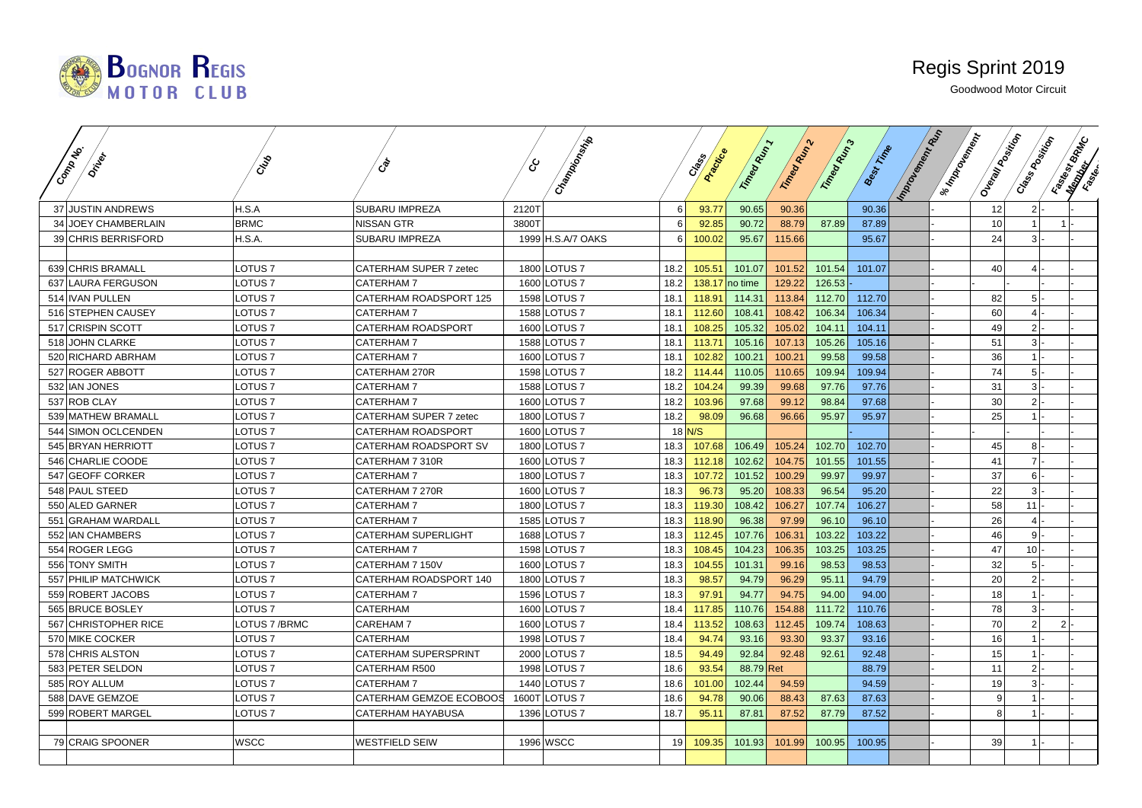

| Commonly<br><b>DEFER</b> | CNS                | ్రీ                         | Champoon Maria    |      | Acockice<br>Creek | Timegram  | Trimega R.P. | Trimea Mans | <b>Best Fixthe</b> | Important Manuscript<br>I su Montegrador | Oueray Room | Case Booking    | Fastage Britton |  |
|--------------------------|--------------------|-----------------------------|-------------------|------|-------------------|-----------|--------------|-------------|--------------------|------------------------------------------|-------------|-----------------|-----------------|--|
| 37 JUSTIN ANDREWS        | H.S.A              | SUBARU IMPREZA              | 2120T             | 6    | 93.77             | 90.65     | 90.36        |             | 90.36              |                                          | 12          | 2               |                 |  |
| 34 JOEY CHAMBERLAIN      | <b>BRMC</b>        | <b>NISSAN GTR</b>           | 3800T             | 6    | 92.85             | 90.72     | 88.79        | 87.89       | 87.89              |                                          | 10          | $\overline{1}$  | 1 <sup>1</sup>  |  |
| 39 CHRIS BERRISFORD      | H.S.A.             | SUBARU IMPREZA              | 1999 H.S.A/7 OAKS | 6    | 100.02            | 95.67     | 115.66       |             | 95.67              |                                          | 24          | $\overline{3}$  |                 |  |
|                          |                    |                             |                   |      |                   |           |              |             |                    |                                          |             |                 |                 |  |
| 639 CHRIS BRAMALL        | LOTUS 7            | CATERHAM SUPER 7 zetec      | 1800 LOTUS 7      | 18.2 | 105.51            | 101.07    | 101.52       | 101.54      | 101.07             |                                          | 40          | 4               |                 |  |
| 637 LAURA FERGUSON       | LOTUS 7            | CATERHAM 7                  | 1600 LOTUS 7      | 18.2 | 138.17            | no time   | 129.22       | 126.53      |                    |                                          |             |                 |                 |  |
| 514 IVAN PULLEN          | LOTUS <sub>7</sub> | CATERHAM ROADSPORT 125      | 1598 LOTUS 7      | 18.1 | 118.91            | 114.31    | 113.84       | 112.70      | 112.70             |                                          | 82          | 5 <sup>1</sup>  |                 |  |
| 516 STEPHEN CAUSEY       | LOTUS <sub>7</sub> | CATERHAM 7                  | 1588 LOTUS 7      | 18.1 | 112.60            | 108.41    | 108.42       | 106.34      | 106.34             |                                          | 60          | $\vert$         |                 |  |
| 517 CRISPIN SCOTT        | <b>LOTUS7</b>      | CATERHAM ROADSPORT          | 1600 LOTUS 7      | 18.1 | 108.25            | 105.32    | 105.02       | 104.11      | 104.11             |                                          | 49          | 2 <sup>1</sup>  |                 |  |
| 518 JOHN CLARKE          | LOTUS 7            | CATERHAM 7                  | 1588 LOTUS 7      | 18.1 | 113.71            | 105.16    | 107.13       | 105.26      | 105.16             |                                          | 51          | 3 <sup>1</sup>  |                 |  |
| 520 RICHARD ABRHAM       | <b>LOTUS7</b>      | CATERHAM 7                  | 1600 LOTUS 7      | 18.1 | 102.82            | 100.21    | 100.21       | 99.58       | 99.58              |                                          | 36          | $\overline{1}$  |                 |  |
| 527 ROGER ABBOTT         | LOTUS <sub>7</sub> | CATERHAM 270R               | 1598 LOTUS 7      | 18.2 | 114.44            | 110.05    | 110.65       | 109.94      | 109.94             |                                          | 74          | 5 <sub>5</sub>  |                 |  |
| 532 IAN JONES            | LOTUS 7            | CATERHAM 7                  | 1588 LOTUS 7      | 18.2 | 104.24            | 99.39     | 99.68        | 97.76       | 97.76              |                                          | 31          | 3 <sup>1</sup>  |                 |  |
| 537 ROB CLAY             | <b>LOTUS7</b>      | CATERHAM 7                  | 1600 LOTUS 7      | 18.2 | 103.96            | 97.68     | 99.12        | 98.84       | 97.68              |                                          | 30          | 2               |                 |  |
| 539 MATHEW BRAMALL       | <b>LOTUS7</b>      | CATERHAM SUPER 7 zetec      | 1800 LOTUS 7      | 18.2 | 98.09             | 96.68     | 96.66        | 95.97       | 95.97              |                                          | 25          |                 |                 |  |
| 544 SIMON OCLCENDEN      | <b>LOTUS7</b>      | CATERHAM ROADSPORT          | 1600 LOTUS 7      |      | $18$ N/S          |           |              |             |                    |                                          |             |                 |                 |  |
| 545 BRYAN HERRIOTT       | LOTUS <sub>7</sub> | CATERHAM ROADSPORT SV       | 1800 LOTUS 7      | 18.3 | 107.68            | 106.49    | 105.24       | 102.70      | 102.70             |                                          | 45          | 8 <sup>1</sup>  |                 |  |
| 546 CHARLIE COODE        | LOTUS 7            | CATERHAM 7 310R             | 1600 LOTUS 7      | 18.3 | 112.18            | 102.62    | 104.75       | 101.55      | 101.55             |                                          | 41          | $\overline{7}$  |                 |  |
| 547 GEOFF CORKER         | LOTUS <sub>7</sub> | CATERHAM 7                  | 1800 LOTUS 7      | 18.3 | 107.72            | 101.52    | 100.29       | 99.97       | 99.97              |                                          | 37          | 6               |                 |  |
| 548 PAUL STEED           | LOTUS 7            | CATERHAM 7 270R             | 1600 LOTUS 7      | 18.3 | 96.73             | 95.20     | 108.33       | 96.54       | 95.20              |                                          | 22          | 3               |                 |  |
| 550 ALED GARNER          | LOTUS 7            | CATERHAM 7                  | 1800 LOTUS 7      | 18.3 | 119.30            | 108.42    | 106.27       | 107.74      | 106.27             |                                          | 58          | 11              |                 |  |
| 551 GRAHAM WARDALL       | LOTUS <sub>7</sub> | CATERHAM 7                  | 1585 LOTUS 7      | 18.3 | 118.90            | 96.38     | 97.99        | 96.10       | 96.10              |                                          | 26          | $\overline{4}$  |                 |  |
| 552 IAN CHAMBERS         | LOTUS <sub>7</sub> | <b>CATERHAM SUPERLIGHT</b>  | 1688 LOTUS 7      | 18.3 | 112.45            | 107.76    | 106.31       | 103.22      | 103.22             |                                          | 46          | 9 <sup>1</sup>  |                 |  |
| 554 ROGER LEGG           | <b>LOTUS7</b>      | <b>CATERHAM7</b>            | 1598 LOTUS 7      | 18.3 | 108.45            | 104.23    | 106.35       | 103.25      | 103.25             |                                          | 47          | 10 <sup>1</sup> |                 |  |
| 556 TONY SMITH           | LOTUS 7            | CATERHAM 7 150V             | 1600 LOTUS 7      | 18.3 | 104.55            | 101.31    | 99.16        | 98.53       | 98.53              |                                          | 32          | 5 <sub>5</sub>  |                 |  |
| 557 PHILIP MATCHWICK     | <b>LOTUS7</b>      | CATERHAM ROADSPORT 140      | 1800 LOTUS 7      | 18.3 | 98.57             | 94.79     | 96.29        | 95.11       | 94.79              |                                          | 20          | 2 <sup>1</sup>  |                 |  |
| 559 ROBERT JACOBS        | LOTUS 7            | CATERHAM 7                  | 1596 LOTUS 7      | 18.3 | 97.91             | 94.77     | 94.75        | 94.00       | 94.00              |                                          | 18          | 1               |                 |  |
| 565 BRUCE BOSLEY         | LOTUS 7            | CATERHAM                    | 1600 LOTUS 7      | 18.4 | 117.85            | 110.76    | 154.88       | 111.72      | 110.76             |                                          | 78          | 3 <sup>1</sup>  |                 |  |
| 567 CHRISTOPHER RICE     | LOTUS 7 / BRMC     | CAREHAM 7                   | 1600 LOTUS 7      | 18.4 | 113.52            | 108.63    | 112.45       | 109.74      | 108.63             |                                          | 70          | $2\vert$        | 2 <sup>1</sup>  |  |
| 570 MIKE COCKER          | <b>LOTUS7</b>      | CATERHAM                    | 1998 LOTUS 7      | 18.4 | 94.74             | 93.16     | 93.30        | 93.37       | 93.16              |                                          | 16          | $\overline{1}$  |                 |  |
| 578 CHRIS ALSTON         | <b>LOTUS7</b>      | <b>CATERHAM SUPERSPRINT</b> | 2000 LOTUS 7      | 18.5 | 94.49             | 92.84     | 92.48        | 92.61       | 92.48              |                                          | 15          | $\overline{1}$  |                 |  |
| 583 PETER SELDON         | LOTUS 7            | CATERHAM R500               | 1998 LOTUS 7      | 18.6 | 93.54             | 88.79 Ret |              |             | 88.79              |                                          | 11          | $\overline{2}$  |                 |  |
| 585 ROY ALLUM            | LOTUS 7            | CATERHAM 7                  | 1440 LOTUS 7      | 18.6 | 101.00            | 102.44    | 94.59        |             | 94.59              |                                          | 19          | $\mathbf{3}$    |                 |  |
| 588 DAVE GEMZOE          | <b>LOTUS7</b>      | CATERHAM GEMZOE ECOBOOS     | 1600T LOTUS 7     | 18.6 | 94.78             | 90.06     | 88.43        | 87.63       | 87.63              |                                          | 9           |                 |                 |  |
| 599 ROBERT MARGEL        | LOTUS 7            | CATERHAM HAYABUSA           | 1396 LOTUS 7      | 18.7 | 95.11             | 87.81     | 87.52        | 87.79       | 87.52              |                                          | 8           |                 |                 |  |
|                          |                    |                             |                   |      |                   |           |              |             |                    |                                          |             |                 |                 |  |
| 79 CRAIG SPOONER         | WSCC               | <b>WESTFIELD SEIW</b>       | 1996 WSCC         | 19   | 109.35            | 101.93    | 101.99       | 100.95      | 100.95             |                                          | 39          |                 |                 |  |
|                          |                    |                             |                   |      |                   |           |              |             |                    |                                          |             |                 |                 |  |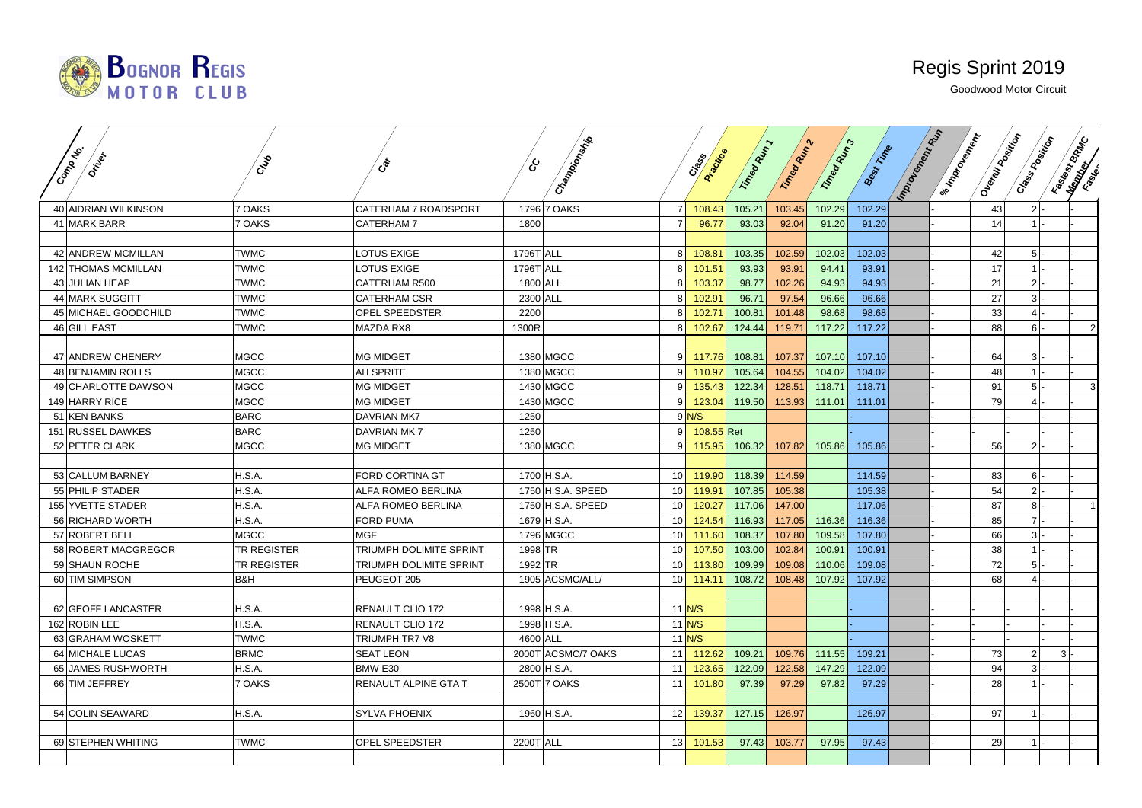

| <b>District</b>      | CAB                | ঔ                           | දා        |                    |                 | Creek           |            |                |             |                   |               |                                        |                |                        |
|----------------------|--------------------|-----------------------------|-----------|--------------------|-----------------|-----------------|------------|----------------|-------------|-------------------|---------------|----------------------------------------|----------------|------------------------|
| Common               |                    |                             |           | Champion Miles     |                 | <b>Practice</b> | Tripeg Man | Tringed Many 2 | T.T. Magnus | <b>Best Firme</b> | Important Rep | I su Modern Mark<br>I Oleania Magistra | Crass Rooming  | <b>Final River Co.</b> |
|                      |                    |                             |           |                    |                 |                 |            |                |             |                   |               |                                        |                |                        |
| 40 AIDRIAN WILKINSON | 7 OAKS             | <b>CATERHAM 7 ROADSPORT</b> |           | 1796 7 OAKS        | 7 <sup>1</sup>  | 108.43          | 105.21     | 103.45         | 102.29      | 102.29            |               | 43                                     | $2$ -          |                        |
| 41 MARK BARR         | 7 OAKS             | CATERHAM 7                  | 1800      |                    | 7 <sup>1</sup>  | 96.77           | 93.03      | 92.04          | 91.20       | 91.20             |               | 14                                     | $1$ -          |                        |
|                      |                    |                             |           |                    |                 |                 |            |                |             |                   |               |                                        |                |                        |
| 42 ANDREW MCMILLAN   | <b>TWMC</b>        | LOTUS EXIGE                 | 1796T ALL |                    | 8 <sup>1</sup>  | 108.81          | 103.35     | 102.59         | 102.03      | 102.03            |               | 42                                     | $5$ -          |                        |
| 142 THOMAS MCMILLAN  | <b>TWMC</b>        | <b>LOTUS EXIGE</b>          | 1796T ALL |                    | 8 <sup>1</sup>  | 101.51          | 93.93      | 93.91          | 94.41       | 93.91             |               | 17                                     | $1$ -          |                        |
| 43 JULIAN HEAP       | <b>TWMC</b>        | CATERHAM R500               | 1800 ALL  |                    | 8 <sup>1</sup>  | 103.37          | 98.77      | 102.26         | 94.93       | 94.93             |               | 21                                     | $2$ -          |                        |
| 44 MARK SUGGITT      | <b>TWMC</b>        | <b>CATERHAM CSR</b>         | 2300 ALL  |                    | 8               | 102.91          | 96.71      | 97.54          | 96.66       | 96.66             |               | $27\,$                                 | $3$ .          |                        |
| 45 MICHAEL GOODCHILD | <b>TWMC</b>        | OPEL SPEEDSTER              | 2200      |                    | 8 <sup>1</sup>  | 102.71          | 100.81     | 101.48         | 98.68       | 98.68             |               | 33                                     | $4$ -          |                        |
| 46 GILL EAST         | <b>TWMC</b>        | <b>MAZDA RX8</b>            | 1300R     |                    | 8               | 102.67          | 124.44     | 119.71         | 117.22      | 117.22            |               | 88                                     | $6 -$          |                        |
|                      |                    |                             |           |                    |                 |                 |            |                |             |                   |               |                                        |                |                        |
| 47 ANDREW CHENERY    | <b>MGCC</b>        | <b>MG MIDGET</b>            |           | 1380 MGCC          | 9 <sup>1</sup>  | 117.76          | 108.81     | 107.37         | 107.10      | 107.10            |               | 64                                     | 3              |                        |
| 48 BENJAMIN ROLLS    | <b>MGCC</b>        | AH SPRITE                   |           | 1380 MGCC          | 91              | 110.97          | 105.64     | 104.55         | 104.02      | 104.02            |               | 48                                     | $1 -$          |                        |
| 49 CHARLOTTE DAWSON  | <b>MGCC</b>        | <b>MG MIDGET</b>            |           | 1430 MGCC          |                 | 135.43          | 122.34     | 128.51         | 118.71      | 118.71            |               | 91                                     | $5$ .          |                        |
| 149 HARRY RICE       | <b>MGCC</b>        | <b>MG MIDGET</b>            |           | 1430 MGCC          | 9 <sup>1</sup>  | 123.04          | 119.50     | 113.93         | 111.01      | 111.01            |               | 79                                     | $4$ .          |                        |
| 51 KEN BANKS         | <b>BARC</b>        | <b>DAVRIAN MK7</b>          | 1250      |                    |                 | $9$ N/S         |            |                |             |                   |               |                                        |                |                        |
| 151 RUSSEL DAWKES    | <b>BARC</b>        | <b>DAVRIAN MK7</b>          | 1250      |                    | 9 <sup>1</sup>  | $108.55$ Ret    |            |                |             |                   |               |                                        |                |                        |
| 52 PETER CLARK       | <b>MGCC</b>        | <b>MG MIDGET</b>            |           | 1380 MGCC          | 9 <sup>1</sup>  | 115.95          | 106.32     | 107.82         | 105.86      | 105.86            |               | 56                                     | $2$ -          |                        |
|                      |                    |                             |           |                    |                 |                 |            |                |             |                   |               |                                        |                |                        |
| 53 CALLUM BARNEY     | H.S.A.             | FORD CORTINA GT             |           | 1700 H.S.A.        | 10 <sup>1</sup> | 119.90          | 118.39     | 114.59         |             | 114.59            |               | 83                                     | $6$  -         |                        |
| 55 PHILIP STADER     | H.S.A.             | ALFA ROMEO BERLINA          |           | 1750 H.S.A. SPEED  | 10 <sup>1</sup> | 119.91          | 107.85     | 105.38         |             | 105.38            |               | 54                                     | $2$ -          |                        |
| 155 YVETTE STADER    | H.S.A.             | ALFA ROMEO BERLINA          |           | 1750 H.S.A. SPEED  | 10 <sup>1</sup> | 120.27          | 117.06     | 147.00         |             | 117.06            |               | 87                                     | $8$  -         |                        |
| 56 RICHARD WORTH     | H.S.A.             | <b>FORD PUMA</b>            |           | 1679 H.S.A.        | 10 <sup>1</sup> | 124.54          | 116.93     | 117.05         | 116.36      | 116.36            |               | 85                                     | $7$ -          |                        |
| 57 ROBERT BELL       | <b>MGCC</b>        | <b>MGF</b>                  |           | 1796 MGCC          | 10 <sup>1</sup> | 111.60          | 108.37     | 107.80         | 109.58      | 107.80            |               | 66                                     | $3$ -          |                        |
| 58 ROBERT MACGREGOR  | <b>TR REGISTER</b> | TRIUMPH DOLIMITE SPRINT     | 1998 TR   |                    | 10 <sup>1</sup> | 107.50          | 103.00     | 102.84         | 100.91      | 100.91            |               | 38                                     | $1$ .          |                        |
| 59 SHAUN ROCHE       | <b>TR REGISTER</b> | TRIUMPH DOLIMITE SPRINT     | 1992 TR   |                    | 10 <sup>1</sup> | 113.80          | 109.99     | 109.08         | 110.06      | 109.08            |               | 72                                     | $5$ -          |                        |
| 60 TIM SIMPSON       | B&H                | PEUGEOT 205                 |           | 1905 ACSMC/ALL/    | 10 <sup>1</sup> | 114.11          | 108.72     | 108.48         | 107.92      | 107.92            |               | 68                                     |                |                        |
|                      |                    |                             |           |                    |                 |                 |            |                |             |                   |               |                                        |                |                        |
| 62 GEOFF LANCASTER   | H.S.A.             | RENAULT CLIO 172            |           | 1998 H.S.A.        | $11$ N/S        |                 |            |                |             |                   |               |                                        |                |                        |
| 162 ROBIN LEE        | H.S.A.             | RENAULT CLIO 172            |           | 1998 H.S.A.        | $11$ N/S        |                 |            |                |             |                   |               |                                        |                |                        |
| 63 GRAHAM WOSKETT    | <b>TWMC</b>        | TRIUMPH TR7 V8              | 4600 ALL  |                    | $11$ N/S        |                 |            |                |             |                   |               |                                        |                |                        |
| 64 MICHALE LUCAS     | <b>BRMC</b>        | <b>SEAT LEON</b>            |           | 2000T ACSMC/7 OAKS | 11              | 112.62          | 109.21     | 109.76         | 111.55      | 109.21            |               | 73                                     | 2 <sup>1</sup> | 3 <sup>1</sup>         |
| 65 JAMES RUSHWORTH   | H.S.A.             | BMW E30                     |           | 2800 H.S.A.        | 11              | 123.65          | 122.09     | 122.58         | 147.29      | 122.09            |               | 94                                     | $3$ -          |                        |
| 66 TIM JEFFREY       | 7 OAKS             | RENAULT ALPINE GTA T        |           | 2500T 7 OAKS       | 11              | 101.80          | 97.39      | 97.29          | 97.82       | 97.29             |               | 28                                     | $1$ .          |                        |
|                      |                    |                             |           |                    |                 |                 |            |                |             |                   |               |                                        |                |                        |
| 54 COLIN SEAWARD     | H.S.A.             | <b>SYLVA PHOENIX</b>        |           | 1960 H.S.A.        | 12              | 139.37          | 127.15     | 126.97         |             | 126.97            |               | 97                                     | $1$ -          |                        |
|                      |                    |                             |           |                    |                 |                 |            |                |             |                   |               |                                        |                |                        |
| 69 STEPHEN WHITING   | <b>TWMC</b>        | OPEL SPEEDSTER              | 2200T ALL |                    | 13              | 101.53          | 97.43      | 103.77         | 97.95       | 97.43             |               | 29                                     | $1$ -          |                        |
|                      |                    |                             |           |                    |                 |                 |            |                |             |                   |               |                                        |                |                        |
|                      |                    |                             |           |                    |                 |                 |            |                |             |                   |               |                                        |                |                        |